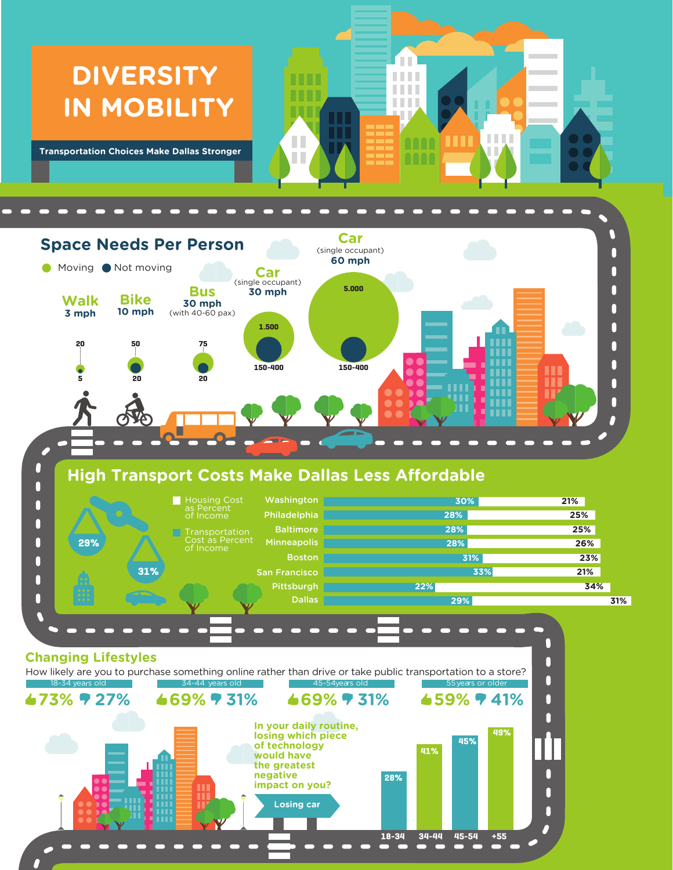## **DIVERSITY IN MOBILITY**

**Transportation Choices Make Dallas Stronger**



H

n.

Ш **TITLE TELE TELE** 

**non** 

**TELL** 

I

. . . .